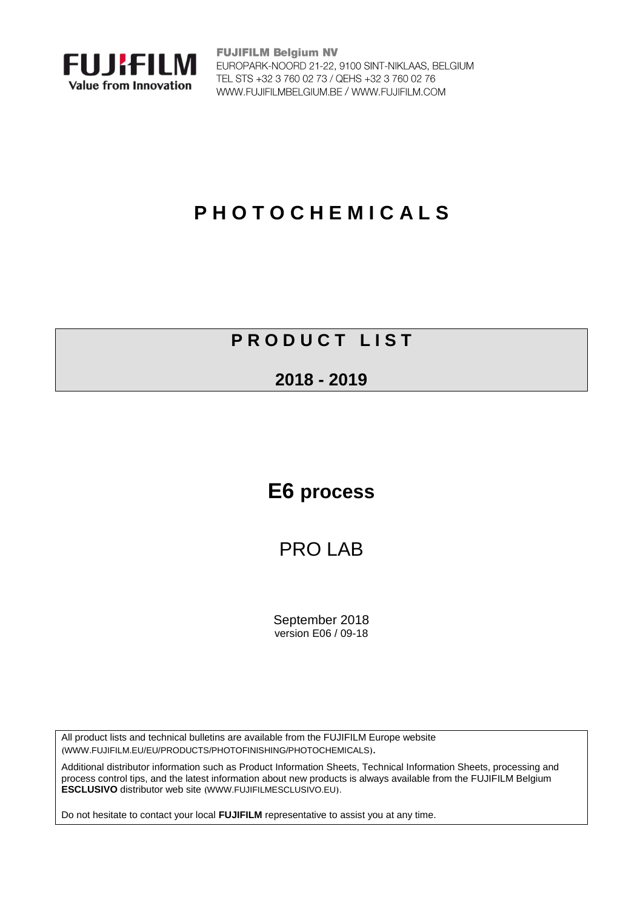

**FUJIFILM Belgium NV** EUROPARK-NOORD 21-22, 9100 SINT-NIKLAAS, BELGIUM TEL STS +32 3 760 02 73 / QEHS +32 3 760 02 76 WWW.FUJIFILMBELGIUM.BE / WWW.FUJIFILM.COM

# **P H O T O C H E M I C A L S**

### **P R O D U C T L I S T**

#### **2018 - 2019**

## **E6 process**

### PRO LAB

September 2018 version E06 / 09-18

All product lists and technical bulletins are available from the FUJIFILM Europe website ([WWW.FUJIFILM.EU/EU/PRODUCTS/PHOTOFINISHING/PHOTOCHEMICALS](https://www.fujifilm.eu/eu/products/photofinishing/photochemicals)).

Additional distributor information such as Product Information Sheets, Technical Information Sheets, processing and process control tips, and the latest information about new products is always available from the FUJIFILM Belgium **[ESCLUSIVO](http://www.fujifilmesclusivo.eu/)** distributor web site ([WWW.FUJIFILMESCLUSIVO.EU](http://www.fujifilmesclusivo.eu/)).

Do not hesitate to contact your local **FUJIFILM** representative to assist you at any time.